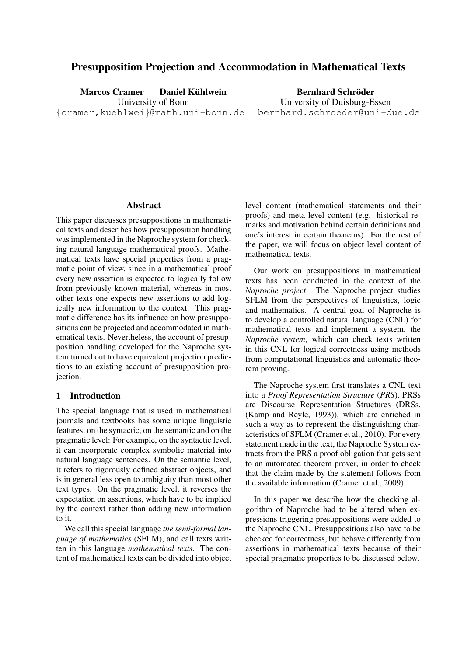# Presupposition Projection and Accommodation in Mathematical Texts

Marcos Cramer **Daniel Kühlwein** University of Bonn {cramer,kuehlwei}@math.uni-bonn.de

Bernhard Schröder University of Duisburg-Essen bernhard.schroeder@uni-due.de

#### Abstract

This paper discusses presuppositions in mathematical texts and describes how presupposition handling was implemented in the Naproche system for checking natural language mathematical proofs. Mathematical texts have special properties from a pragmatic point of view, since in a mathematical proof every new assertion is expected to logically follow from previously known material, whereas in most other texts one expects new assertions to add logically new information to the context. This pragmatic difference has its influence on how presuppositions can be projected and accommodated in mathematical texts. Nevertheless, the account of presupposition handling developed for the Naproche system turned out to have equivalent projection predictions to an existing account of presupposition projection.

## 1 Introduction

The special language that is used in mathematical journals and textbooks has some unique linguistic features, on the syntactic, on the semantic and on the pragmatic level: For example, on the syntactic level, it can incorporate complex symbolic material into natural language sentences. On the semantic level, it refers to rigorously defined abstract objects, and is in general less open to ambiguity than most other text types. On the pragmatic level, it reverses the expectation on assertions, which have to be implied by the context rather than adding new information to it.

We call this special language *the semi-formal language of mathematics* (SFLM), and call texts written in this language *mathematical texts*. The content of mathematical texts can be divided into object level content (mathematical statements and their proofs) and meta level content (e.g. historical remarks and motivation behind certain definitions and one's interest in certain theorems). For the rest of the paper, we will focus on object level content of mathematical texts.

Our work on presuppositions in mathematical texts has been conducted in the context of the *Naproche project*. The Naproche project studies SFLM from the perspectives of linguistics, logic and mathematics. A central goal of Naproche is to develop a controlled natural language (CNL) for mathematical texts and implement a system, the *Naproche system*, which can check texts written in this CNL for logical correctness using methods from computational linguistics and automatic theorem proving.

The Naproche system first translates a CNL text into a *Proof Representation Structure* (*PRS*). PRSs are Discourse Representation Structures (DRSs, (Kamp and Reyle, 1993)), which are enriched in such a way as to represent the distinguishing characteristics of SFLM (Cramer et al., 2010). For every statement made in the text, the Naproche System extracts from the PRS a proof obligation that gets sent to an automated theorem prover, in order to check that the claim made by the statement follows from the available information (Cramer et al., 2009).

In this paper we describe how the checking algorithm of Naproche had to be altered when expressions triggering presuppositions were added to the Naproche CNL. Presuppositions also have to be checked for correctness, but behave differently from assertions in mathematical texts because of their special pragmatic properties to be discussed below.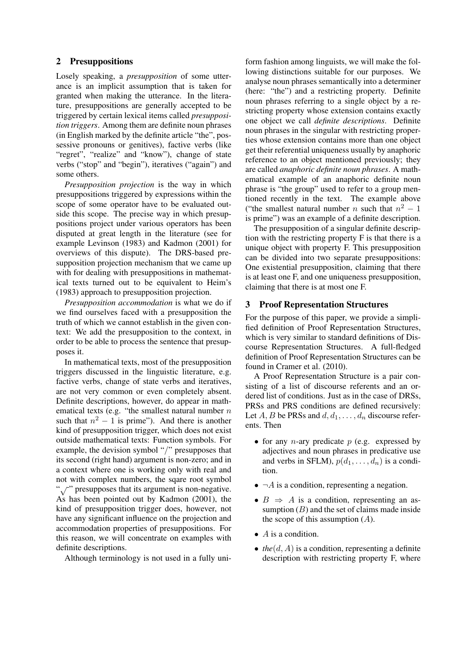## 2 Presuppositions

Losely speaking, a *presupposition* of some utterance is an implicit assumption that is taken for granted when making the utterance. In the literature, presuppositions are generally accepted to be triggered by certain lexical items called *presupposition triggers*. Among them are definite noun phrases (in English marked by the definite article "the", possessive pronouns or genitives), factive verbs (like "regret", "realize" and "know"), change of state verbs ("stop" and "begin"), iteratives ("again") and some others.

*Presupposition projection* is the way in which presuppositions triggered by expressions within the scope of some operator have to be evaluated outside this scope. The precise way in which presuppositions project under various operators has been disputed at great length in the literature (see for example Levinson (1983) and Kadmon (2001) for overviews of this dispute). The DRS-based presupposition projection mechanism that we came up with for dealing with presuppositions in mathematical texts turned out to be equivalent to Heim's (1983) approach to presupposition projection.

*Presupposition accommodation* is what we do if we find ourselves faced with a presupposition the truth of which we cannot establish in the given context: We add the presupposition to the context, in order to be able to process the sentence that presupposes it.

In mathematical texts, most of the presupposition triggers discussed in the linguistic literature, e.g. factive verbs, change of state verbs and iteratives, are not very common or even completely absent. Definite descriptions, however, do appear in mathematical texts (e.g. "the smallest natural number  $n$ such that  $n^2 - 1$  is prime"). And there is another kind of presupposition trigger, which does not exist outside mathematical texts: Function symbols. For example, the devision symbol "/" presupposes that its second (right hand) argument is non-zero; and in a context where one is working only with real and not with complex numbers, the sqare root symbol " <sup>√</sup> " presupposes that its argument is non-negative. As has been pointed out by Kadmon (2001), the kind of presupposition trigger does, however, not have any significant influence on the projection and accommodation properties of presuppositions. For this reason, we will concentrate on examples with definite descriptions.

Although terminology is not used in a fully uni-

form fashion among linguists, we will make the following distinctions suitable for our purposes. We analyse noun phrases semantically into a determiner (here: "the") and a restricting property. Definite noun phrases referring to a single object by a restricting property whose extension contains exactly one object we call *definite descriptions*. Definite noun phrases in the singular with restricting properties whose extension contains more than one object get their referential uniqueness usually by anaphoric reference to an object mentioned previously; they are called *anaphoric definite noun phrases*. A mathematical example of an anaphoric definite noun phrase is "the group" used to refer to a group mentioned recently in the text. The example above ("the smallest natural number *n* such that  $n^2 - 1$ is prime") was an example of a definite description.

The presupposition of a singular definite description with the restricting property F is that there is a unique object with property F. This presupposition can be divided into two separate presuppositions: One existential presupposition, claiming that there is at least one F, and one uniqueness presupposition, claiming that there is at most one F.

## 3 Proof Representation Structures

For the purpose of this paper, we provide a simplified definition of Proof Representation Structures, which is very similar to standard definitions of Discourse Representation Structures. A full-fledged definition of Proof Representation Structures can be found in Cramer et al. (2010).

A Proof Representation Structure is a pair consisting of a list of discourse referents and an ordered list of conditions. Just as in the case of DRSs, PRSs and PRS conditions are defined recursively: Let A, B be PRSs and  $d, d_1, \ldots, d_n$  discourse referents. Then

- for any *n*-ary predicate *p* (e.g. expressed by adjectives and noun phrases in predicative use and verbs in SFLM),  $p(d_1, \ldots, d_n)$  is a condition.
- $\bullet \neg A$  is a condition, representing a negation.
- $B \Rightarrow A$  is a condition, representing an assumption  $(B)$  and the set of claims made inside the scope of this assumption  $(A)$ .
- $\bullet$  A is a condition.
- *the* $(d, A)$  is a condition, representing a definite description with restricting property F, where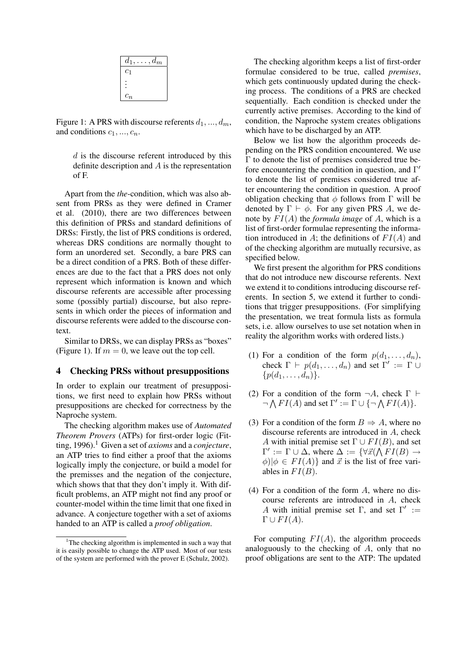| $d_1, \ldots$<br>$d_m$ |
|------------------------|
| c <sub>1</sub>         |
|                        |
| $c_n$                  |

Figure 1: A PRS with discourse referents  $d_1, ..., d_m$ , and conditions  $c_1, ..., c_n$ .

d is the discourse referent introduced by this definite description and A is the representation of F.

Apart from the *the*-condition, which was also absent from PRSs as they were defined in Cramer et al. (2010), there are two differences between this definition of PRSs and standard definitions of DRSs: Firstly, the list of PRS conditions is ordered, whereas DRS conditions are normally thought to form an unordered set. Secondly, a bare PRS can be a direct condition of a PRS. Both of these differences are due to the fact that a PRS does not only represent which information is known and which discourse referents are accessible after processing some (possibly partial) discourse, but also represents in which order the pieces of information and discourse referents were added to the discourse context.

Similar to DRSs, we can display PRSs as "boxes" (Figure 1). If  $m = 0$ , we leave out the top cell.

### 4 Checking PRSs without presuppositions

In order to explain our treatment of presuppositions, we first need to explain how PRSs without presuppositions are checked for correctness by the Naproche system.

The checking algorithm makes use of *Automated Theorem Provers* (ATPs) for first-order logic (Fitting, 1996).<sup>1</sup> Given a set of *axioms* and a *conjecture*, an ATP tries to find either a proof that the axioms logically imply the conjecture, or build a model for the premisses and the negation of the conjecture, which shows that that they don't imply it. With difficult problems, an ATP might not find any proof or counter-model within the time limit that one fixed in advance. A conjecture together with a set of axioms handed to an ATP is called a *proof obligation*.

The checking algorithm keeps a list of first-order formulae considered to be true, called *premises*, which gets continuously updated during the checking process. The conditions of a PRS are checked sequentially. Each condition is checked under the currently active premises. According to the kind of condition, the Naproche system creates obligations which have to be discharged by an ATP.

Below we list how the algorithm proceeds depending on the PRS condition encountered. We use Γ to denote the list of premises considered true before encountering the condition in question, and  $\Gamma'$ to denote the list of premises considered true after encountering the condition in question. A proof obligation checking that  $\phi$  follows from Γ will be denoted by  $\Gamma \vdash \phi$ . For any given PRS A, we denote by  $FI(A)$  the *formula image* of A, which is a list of first-order formulae representing the information introduced in A; the definitions of  $FI(A)$  and of the checking algorithm are mutually recursive, as specified below.

We first present the algorithm for PRS conditions that do not introduce new discourse referents. Next we extend it to conditions introducing discourse referents. In section 5, we extend it further to conditions that trigger presuppositions. (For simplifying the presentation, we treat formula lists as formula sets, i.e. allow ourselves to use set notation when in reality the algorithm works with ordered lists.)

- (1) For a condition of the form  $p(d_1, \ldots, d_n)$ , check  $\Gamma \vdash p(d_1, \ldots, d_n)$  and set  $\Gamma' := \Gamma \cup$  $\{p(d_1, \ldots, d_n)\}.$
- (2) For a condition of the form  $\neg A$ , check  $\Gamma \vdash$  $\neg \bigwedge FI(A)$  and set  $\Gamma' := \Gamma \cup \{\neg \bigwedge FI(A)\}.$
- (3) For a condition of the form  $B \Rightarrow A$ , where no discourse referents are introduced in A, check A with initial premise set  $\Gamma \cup FI(B)$ , and set  $\Gamma' := \Gamma \cup \Delta$ , where  $\Delta := \{ \forall \vec{x} (\hat{\Lambda}) \ FI(B) \rightarrow$  $\phi$ )| $\phi \in FI(A)$ } and  $\vec{x}$  is the list of free variables in  $FI(B)$ .
- (4) For a condition of the form  $A$ , where no discourse referents are introduced in A, check A with initial premise set  $\Gamma$ , and set  $\Gamma'$  :=  $\Gamma \cup FI(A).$

For computing  $FI(A)$ , the algorithm proceeds analoguously to the checking of A, only that no proof obligations are sent to the ATP: The updated

<sup>&</sup>lt;sup>1</sup>The checking algorithm is implemented in such a way that it is easily possible to change the ATP used. Most of our tests of the system are performed with the prover E (Schulz, 2002).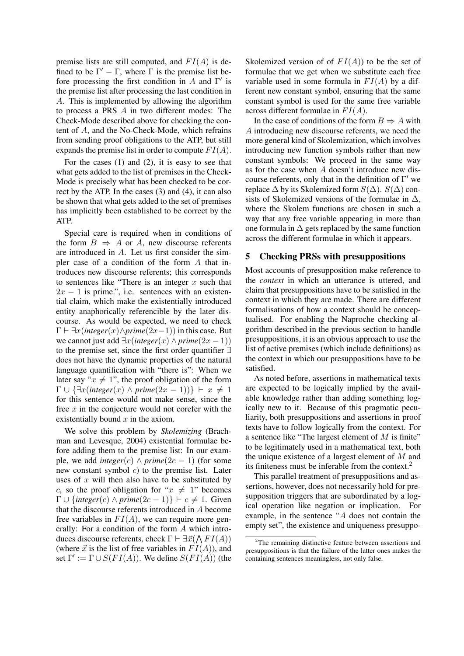premise lists are still computed, and  $FI(A)$  is defined to be  $\Gamma' - \Gamma$ , where  $\Gamma$  is the premise list before processing the first condition in  $A$  and  $\Gamma'$  is the premise list after processing the last condition in A. This is implemented by allowing the algorithm to process a PRS A in two different modes: The Check-Mode described above for checking the content of A, and the No-Check-Mode, which refrains from sending proof obligations to the ATP, but still expands the premise list in order to compute  $FI(A)$ .

For the cases (1) and (2), it is easy to see that what gets added to the list of premises in the Check-Mode is precisely what has been checked to be correct by the ATP. In the cases (3) and (4), it can also be shown that what gets added to the set of premises has implicitly been established to be correct by the ATP.

Special care is required when in conditions of the form  $B \Rightarrow A$  or A, new discourse referents are introduced in A. Let us first consider the simpler case of a condition of the form A that introduces new discourse referents; this corresponds to sentences like "There is an integer  $x$  such that  $2x - 1$  is prime.", i.e. sentences with an existential claim, which make the existentially introduced entity anaphorically referencible by the later discourse. As would be expected, we need to check  $Γ ⊢ ∃x(integer(x) ∧ prime(2x−1))$  in this case. But we cannot just add  $\exists x (integer(x) \land prime(2x - 1))$ to the premise set, since the first order quantifier ∃ does not have the dynamic properties of the natural language quantification with "there is": When we later say " $x \neq 1$ ", the proof obligation of the form  $\Gamma \cup \{\exists x (\text{integer}(x) \land \text{prime}(2x-1))\} \vdash x \neq 1$ for this sentence would not make sense, since the free  $x$  in the conjecture would not corefer with the existentially bound  $x$  in the axiom.

We solve this problem by *Skolemizing* (Brachman and Levesque, 2004) existential formulae before adding them to the premise list: In our example, we add *integer*(c)  $\land$  *prime*(2c − 1) (for some new constant symbol c) to the premise list. Later uses of  $x$  will then also have to be substituted by c, so the proof obligation for " $x \neq 1$ " becomes  $\Gamma \cup \{integer(c) \wedge prime(2c-1)\}\vdash c \neq 1$ . Given that the discourse referents introduced in A become free variables in  $FI(A)$ , we can require more generally: For a condition of the form A which introduces discourse referents, check  $\Gamma \vdash \exists \vec{x} (\bigwedge FI(A))$ (where  $\vec{x}$  is the list of free variables in  $FI(A)$ ), and set  $\Gamma' := \Gamma \cup S(FI(A))$ . We define  $S(FI(A))$  (the

Skolemized version of of  $FI(A)$  to be the set of formulae that we get when we substitute each free variable used in some formula in  $FI(A)$  by a different new constant symbol, ensuring that the same constant symbol is used for the same free variable across different formulae in  $FI(A)$ .

In the case of conditions of the form  $B \Rightarrow A$  with A introducing new discourse referents, we need the more general kind of Skolemization, which involves introducing new function symbols rather than new constant symbols: We proceed in the same way as for the case when A doesn't introduce new discourse referents, only that in the definition of  $\Gamma'$  we replace  $\Delta$  by its Skolemized form  $S(\Delta)$ .  $S(\Delta)$  consists of Skolemized versions of the formulae in  $\Delta$ , where the Skolem functions are chosen in such a way that any free variable appearing in more than one formula in  $\Delta$  gets replaced by the same function across the different formulae in which it appears.

#### 5 Checking PRSs with presuppositions

Most accounts of presupposition make reference to the *context* in which an utterance is uttered, and claim that presuppositions have to be satisfied in the context in which they are made. There are different formalisations of how a context should be conceptualised. For enabling the Naproche checking algorithm described in the previous section to handle presuppositions, it is an obvious approach to use the list of active premises (which include definitions) as the context in which our presuppositions have to be satisfied.

As noted before, assertions in mathematical texts are expected to be logically implied by the available knowledge rather than adding something logically new to it. Because of this pragmatic peculiarity, both presuppositions and assertions in proof texts have to follow logically from the context. For a sentence like "The largest element of  $M$  is finite" to be legitimately used in a mathematical text, both the unique existence of a largest element of  $M$  and its finiteness must be inferable from the context.<sup>2</sup>

This parallel treatment of presuppositions and assertions, however, does not necessarily hold for presupposition triggers that are subordinated by a logical operation like negation or implication. For example, in the sentence "A does not contain the empty set", the existence and uniqueness presuppo-

<sup>&</sup>lt;sup>2</sup>The remaining distinctive feature between assertions and presuppositions is that the failure of the latter ones makes the containing sentences meaningless, not only false.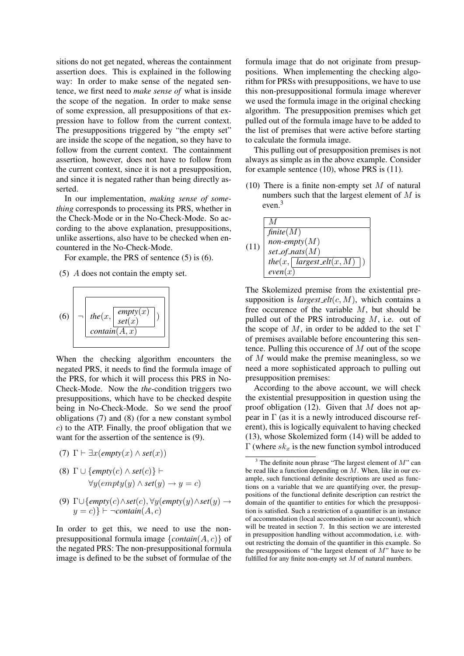sitions do not get negated, whereas the containment assertion does. This is explained in the following way: In order to make sense of the negated sentence, we first need to *make sense of* what is inside the scope of the negation. In order to make sense of some expression, all presuppositions of that expression have to follow from the current context. The presuppositions triggered by "the empty set" are inside the scope of the negation, so they have to follow from the current context. The containment assertion, however, does not have to follow from the current context, since it is not a presupposition, and since it is negated rather than being directly asserted.

In our implementation, *making sense of something* corresponds to processing its PRS, whether in the Check-Mode or in the No-Check-Mode. So according to the above explanation, presuppositions, unlike assertions, also have to be checked when encountered in the No-Check-Mode.

For example, the PRS of sentence (5) is (6).

(5) A does not contain the empty set.

(6) 
$$
- \left[ \frac{the(x, \boxed{\text{empty}(x)}]}{\text{total}(A, x)} \right)
$$

When the checking algorithm encounters the negated PRS, it needs to find the formula image of the PRS, for which it will process this PRS in No-Check-Mode. Now the *the*-condition triggers two presuppositions, which have to be checked despite being in No-Check-Mode. So we send the proof obligations (7) and (8) (for a new constant symbol c) to the ATP. Finally, the proof obligation that we want for the assertion of the sentence is (9).

- (7)  $\Gamma \vdash \exists x (empty(x) \land set(x))$
- (8)  $\Gamma \cup \{empty(c) \wedge set(c)\}$  $∀y(empty(y) ∧ set(y) → y = c)$
- (9)  $\Gamma \cup \{empty(c) \land set(c), \forall y(empty(y) \land set(y) \rightarrow$  $y = c$ )}  $\vdash \neg \text{contain}(A, c)$

In order to get this, we need to use the nonpresuppositional formula image {*contain*(A, c)} of the negated PRS: The non-presuppositional formula image is defined to be the subset of formulae of the

formula image that do not originate from presuppositions. When implementing the checking algorithm for PRSs with presuppositions, we have to use this non-presuppositional formula image wherever we used the formula image in the original checking algorithm. The presupposition premises which get pulled out of the formula image have to be added to the list of premises that were active before starting to calculate the formula image.

This pulling out of presupposition premises is not always as simple as in the above example. Consider for example sentence (10), whose PRS is (11).

(10) There is a finite non-empty set  $M$  of natural numbers such that the largest element of M is even.<sup>3</sup>



The Skolemized premise from the existential presupposition is *largest\_elt* $(c, M)$ , which contains a free occurence of the variable M, but should be pulled out of the PRS introducing M, i.e. out of the scope of M, in order to be added to the set  $\Gamma$ of premises available before encountering this sentence. Pulling this occurence of M out of the scope of M would make the premise meaningless, so we need a more sophisticated approach to pulling out presupposition premises:

According to the above account, we will check the existential presupposition in question using the proof obligation (12). Given that  $M$  does not appear in  $\Gamma$  (as it is a newly introduced discourse referent), this is logically equivalent to having checked (13), whose Skolemized form (14) will be added to Γ (where  $sk_x$  is the new function symbol introduced

 $3$  The definite noun phrase "The largest element of  $M$ " can be read like a function depending on  $M$ . When, like in our example, such functional definite descriptions are used as functions on a variable that we are quantifying over, the presuppositions of the functional definite description can restrict the domain of the quantifier to entities for which the presupposition is satisfied. Such a restriction of a quantifier is an instance of accommodation (local accomodation in our account), which will be treated in section 7. In this section we are interested in presupposition handling without accommodation, i.e. without restricting the domain of the quantifier in this example. So the presuppositions of "the largest element of  $M$ " have to be fulfilled for any finite non-empty set  $M$  of natural numbers.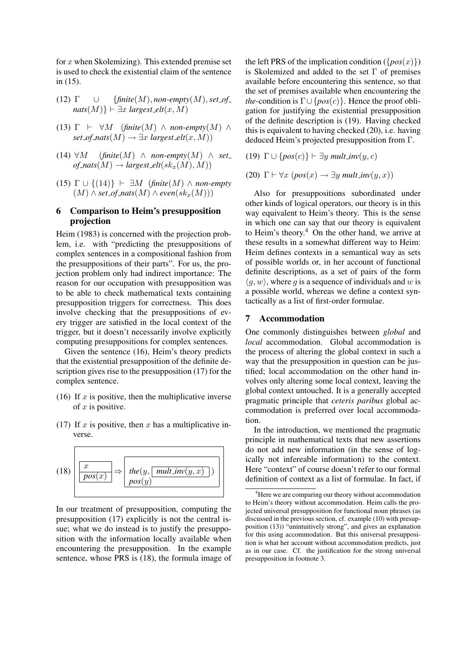for  $x$  when Skolemizing). This extended premise set is used to check the existential claim of the sentence in (15).

- (12)  $\Gamma$  ∪ {*finite*(*M*), *non-empty*(*M*), *set\_of\_*  $nats(M)$   $\vdash \exists x \text{ largest}\_\textit{elt}(x, M)$
- (13)  $\Gamma$   $\vdash$   $\forall M$  (*finite*(*M*)  $\land$  *non-empty*(*M*)  $\land$  $set\_of\_nats(M) \rightarrow \exists x \text{ largest\_elt}(x, M))$
- (14)  $\forall M$  (*finite*(*M*)  $\land$  *non-empty*(*M*)  $\land$  *set*  $of\_nats(M) \rightarrow largest\_elt(sk_x(M), M)$
- (15)  $\Gamma \cup \{(14)\}\vdash \exists M \text{ (finite}(M) \land \text{non-empty})$  $(M) \wedge set\_of\_nats(M) \wedge even(sk_x(M)))$

# 6 Comparison to Heim's presupposition projection

Heim (1983) is concerned with the projection problem, i.e. with "predicting the presuppositions of complex sentences in a compositional fashion from the presuppositions of their parts". For us, the projection problem only had indirect importance: The reason for our occupation with presupposition was to be able to check mathematical texts containing presupposition triggers for correctness. This does involve checking that the presuppositions of every trigger are satisfied in the local context of the trigger, but it doesn't necessarily involve explicitly computing presuppositions for complex sentences.

Given the sentence (16), Heim's theory predicts that the existential presupposition of the definite description gives rise to the presupposition (17) for the complex sentence.

- (16) If  $x$  is positive, then the multiplicative inverse of  $x$  is positive.
- (17) If x is positive, then x has a multiplicative inverse.



In our treatment of presupposition, computing the presupposition (17) explicitly is not the central issue; what we do instead is to justify the presupposition with the information locally available when encountering the presupposition. In the example sentence, whose PRS is (18), the formula image of

the left PRS of the implication condition  $({\{pos(x)\}})$ is Skolemized and added to the set  $\Gamma$  of premises available before encountering this sentence, so that the set of premises available when encountering the *the*-condition is  $\Gamma \cup \{pos(c)\}\$ . Hence the proof obligation for justifying the existential presupposition of the definite description is (19). Having checked this is equivalent to having checked (20), i.e. having deduced Heim's projected presupposition from Γ.

(19) 
$$
\Gamma \cup \{pos(c)\} \vdash \exists y \text{ multi-inv}(y, c)
$$

(20) 
$$
\Gamma \vdash \forall x \ (pos(x) \rightarrow \exists y \ multi-inv(y, x))
$$

Also for presuppositions subordinated under other kinds of logical operators, our theory is in this way equivalent to Heim's theory. This is the sense in which one can say that our theory is equivalent to Heim's theory. $4$  On the other hand, we arrive at these results in a somewhat different way to Heim: Heim defines contexts in a semantical way as sets of possible worlds or, in her account of functional definite descriptions, as a set of pairs of the form  $\langle q, w \rangle$ , where g is a sequence of individuals and w is a possible world, whereas we define a context syntactically as a list of first-order formulae.

### 7 Accommodation

One commonly distinguishes between *global* and *local* accommodation. Global accommodation is the process of altering the global context in such a way that the presupposition in question can be justified; local accommodation on the other hand involves only altering some local context, leaving the global context untouched. It is a generally accepted pragmatic principle that *ceteris paribus* global accommodation is preferred over local accommodation.

In the introduction, we mentioned the pragmatic principle in mathematical texts that new assertions do not add new information (in the sense of logically not infereable information) to the context. Here "context" of course doesn't refer to our formal definition of context as a list of formulae. In fact, if

<sup>&</sup>lt;sup>4</sup>Here we are comparing our theory without accommodation to Heim's theory without accommodation. Heim calls the projected universal presupposition for functional noun phrases (as discussed in the previous section, cf. example (10) with presupposition (13)) "unintuitively strong", and gives an explanation for this using accommodation. But this universal presupposition is what her account without accommodation predicts, just as in our case. Cf. the justification for the strong universal presupposition in footnote 3.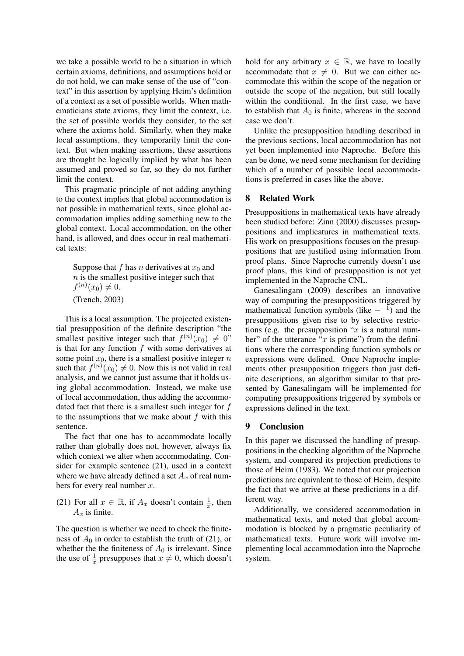we take a possible world to be a situation in which certain axioms, definitions, and assumptions hold or do not hold, we can make sense of the use of "context" in this assertion by applying Heim's definition of a context as a set of possible worlds. When mathematicians state axioms, they limit the context, i.e. the set of possible worlds they consider, to the set where the axioms hold. Similarly, when they make local assumptions, they temporarily limit the context. But when making assertions, these assertions are thought be logically implied by what has been assumed and proved so far, so they do not further limit the context.

This pragmatic principle of not adding anything to the context implies that global accommodation is not possible in mathematical texts, since global accommodation implies adding something new to the global context. Local accommodation, on the other hand, is allowed, and does occur in real mathematical texts:

Suppose that f has n derivatives at  $x_0$  and  $n$  is the smallest positive integer such that  $f^{(n)}(x_0) \neq 0.$ (Trench, 2003)

This is a local assumption. The projected existential presupposition of the definite description "the smallest positive integer such that  $f^{(n)}(x_0) \neq 0$ " is that for any function  $f$  with some derivatives at some point  $x_0$ , there is a smallest positive integer n such that  $f^{(n)}(x_0) \neq 0$ . Now this is not valid in real analysis, and we cannot just assume that it holds using global accommodation. Instead, we make use of local accommodation, thus adding the accommodated fact that there is a smallest such integer for f to the assumptions that we make about  $f$  with this sentence.

The fact that one has to accommodate locally rather than globally does not, however, always fix which context we alter when accommodating. Consider for example sentence (21), used in a context where we have already defined a set  $A_x$  of real numbers for every real number  $x$ .

(21) For all  $x \in \mathbb{R}$ , if  $A_x$  doesn't contain  $\frac{1}{x}$ , then  $A_x$  is finite.

The question is whether we need to check the finiteness of  $A_0$  in order to establish the truth of (21), or whether the the finiteness of  $A_0$  is irrelevant. Since the use of  $\frac{1}{x}$  presupposes that  $x \neq 0$ , which doesn't

hold for any arbitrary  $x \in \mathbb{R}$ , we have to locally accommodate that  $x \neq 0$ . But we can either accommodate this within the scope of the negation or outside the scope of the negation, but still locally within the conditional. In the first case, we have to establish that  $A_0$  is finite, whereas in the second case we don't.

Unlike the presupposition handling described in the previous sections, local accommodation has not yet been implemented into Naproche. Before this can be done, we need some mechanism for deciding which of a number of possible local accommodations is preferred in cases like the above.

### 8 Related Work

Presuppositions in mathematical texts have already been studied before: Zinn (2000) discusses presuppositions and implicatures in mathematical texts. His work on presuppositions focuses on the presuppositions that are justified using information from proof plans. Since Naproche currently doesn't use proof plans, this kind of presupposition is not yet implemented in the Naproche CNL.

Ganesalingam (2009) describes an innovative way of computing the presuppositions triggered by mathematical function symbols (like  $-$ <sup>-1</sup>) and the presuppositions given rise to by selective restrictions (e.g. the presupposition " $x$  is a natural number" of the utterance "x is prime") from the definitions where the corresponding function symbols or expressions were defined. Once Naproche implements other presupposition triggers than just definite descriptions, an algorithm similar to that presented by Ganesalingam will be implemented for computing presuppositions triggered by symbols or expressions defined in the text.

#### 9 Conclusion

In this paper we discussed the handling of presuppositions in the checking algorithm of the Naproche system, and compared its projection predictions to those of Heim (1983). We noted that our projection predictions are equivalent to those of Heim, despite the fact that we arrive at these predictions in a different way.

Additionally, we considered accommodation in mathematical texts, and noted that global accommodation is blocked by a pragmatic peculiarity of mathematical texts. Future work will involve implementing local accommodation into the Naproche system.